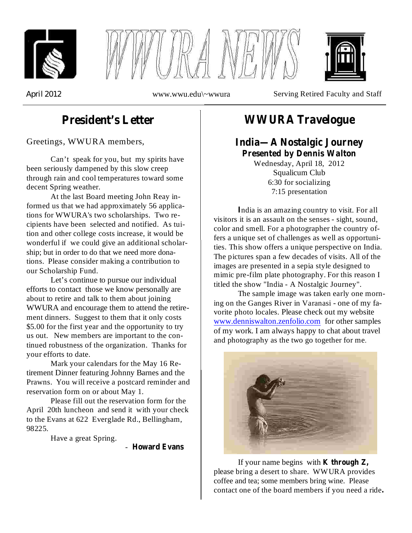





*April* 2012 www.www.wwu.edu\~wwura Serving Retired Faculty and Staff

# **President's Letter**

Greetings, WWURA members,

Can't speak for you, but my spirits have been seriously dampened by this slow creep through rain and cool temperatures toward some decent Spring weather.

At the last Board meeting John Reay informed us that we had approximately 56 applications for WWURA's two scholarships. Two recipients have been selected and notified. As tuition and other college costs increase, it would be wonderful if we could give an additional scholarship; but in order to do that we need more donations. Please consider making a contribution to our Scholarship Fund.

Let's continue to pursue our individual efforts to contact those we know personally are about to retire and talk to them about joining WWURA and encourage them to attend the retirement dinners. Suggest to them that it only costs \$5.00 for the first year and the opportunity to try us out. New members are important to the continued robustness of the organization. Thanks for your efforts to date.

Mark your calendars for the May 16 Retirement Dinner featuring Johnny Barnes and the Prawns. You will receive a postcard reminder and reservation form on or about May 1.

Please fill out the reservation form for the April 20th luncheon and send it with your check to the Evans at 622 Everglade Rd., Bellingham, 98225.

Have a great Spring.

- **Howard Evans**

## **WWURA Travelogue**

### **India—A Nostalgic Journey Presented by Dennis Walton**

Wednesday, April 18, 2012 Squalicum Club 6:30 for socializing 7:15 presentation

ndia is an amazing country to visit. For all **I** visitors it is an assault on the senses - sight, sound, color and smell. For a photographer the country offers a unique set of challenges as well as opportunities. This show offers a unique perspective on India. The pictures span a few decades of visits. All of the images are presented in a sepia style designed to mimic pre-film plate photography. For this reason I titled the show "India - A Nostalgic Journey".

The sample image was taken early one morning on the Ganges River in Varanasi - one of my favorite photo locales. Please check out my website www.denniswalton.zenfolio.com for other samples of my work. I am always happy to chat about travel and photography as the two go together for me.



If your name begins with **K through Z,** please bring a desert to share. WWURA provides coffee and tea; some members bring wine. Please contact one of the board members if you need a ride **.**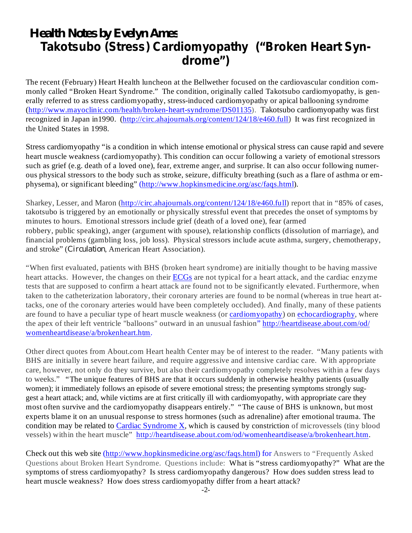# *Health Notes by Evelyn Ames* **Takotsubo (Stress) Cardiomyopathy ("Broken Heart Syndrome")**

The recent (February) Heart Health luncheon at the Bellwether focused on the cardiovascular condition commonly called "Broken Heart Syndrome." The condition, originally called Takotsubo cardiomyopathy, is generally referred to as stress cardiomyopathy, stress-induced cardiomyopathy or apical ballooning syndrome (http://www.mayoclinic.com/health/broken-heart-syndrome/DS01135). Takotsubo cardiomyopathy was first recognized in Japan in1990. (http://circ.ahajournals.org/content/124/18/e460.full) It was first recognized in the United States in 1998.

Stress cardiomyopathy "is a condition in which intense emotional or physical stress can cause rapid and severe heart muscle weakness (cardiomyopathy). This condition can occur following a variety of emotional stressors such as grief (e.g. death of a loved one), fear, extreme anger, and surprise. It can also occur following numerous physical stressors to the body such as stroke, seizure, difficulty breathing (such as a flare of asthma or emphysema), or significant bleeding" (http://www.hopkinsmedicine.org/asc/faqs.html).

Sharkey, Lesser, and Maron (http://circ.ahajournals.org/content/124/18/e460.full) report that in "85% of cases, takotsubo is triggered by an emotionally or physically stressful event that precedes the onset of symptoms by minutes to hours. Emotional stressors include grief (death of a loved one), fear (armed robbery, public speaking), anger (argument with spouse), relationship conflicts (dissolution of marriage), and financial problems (gambling loss, job loss). Physical stressors include acute asthma, surgery, chemotherapy, and stroke" (Circulation, American Heart Association).

"When first evaluated, patients with BHS (broken heart syndrome) are initially thought to be having massive heart attacks. However, the changes on their ECGs are not typical for a heart attack, and the cardiac enzyme tests that are supposed to confirm a heart attack are found not to be significantly elevated. Furthermore, when taken to the catheterization laboratory, their coronary arteries are found to be normal (whereas in true heart attacks, one of the coronary arteries would have been completely occluded). And finally, many of these patients are found to have a peculiar type of heart muscle weakness (or cardiomyopathy) on echocardiography, where the apex of their left ventricle "balloons" outward in an unusual fashion" http://heartdisease.about.com/od/ womenheartdisease/a/brokenheart.htm.

Other direct quotes from About.com Heart health Center may be of interest to the reader. "Many patients with BHS are initially in severe heart failure, and require aggressive and intensive cardiac care. With appropriate care, however, not only do they survive, but also their cardiomyopathy completely resolves within a few days to weeks." "The unique features of BHS are that it occurs suddenly in otherwise healthy patients (usually women); it immediately follows an episode of severe emotional stress; the presenting symptoms strongly suggest a heart attack; and, while victims are at first critically ill with cardiomyopathy, with appropriate care they most often survive and the cardiomyopathy disappears entirely." "The cause of BHS is unknown, but most experts blame it on an unusual response to stress hormones (such as adrenaline) after emotional trauma. The condition may be related to Cardiac Syndrome X, which is caused by constriction of microvessels (tiny blood vessels) within the heart muscle" http://heartdisease.about.com/od/womenheartdisease/a/brokenheart.htm.

Check out this web site (http://www.hopkinsmedicine.org/asc/faqs.html) for Answers to "Frequently Asked Questions about Broken Heart Syndrome. Questions include: What is "stress cardiomyopathy?" What are the symptoms of stress cardiomyopathy? Is stress cardiomyopathy dangerous? How does sudden stress lead to heart muscle weakness? How does stress cardiomyopathy differ from a heart attack?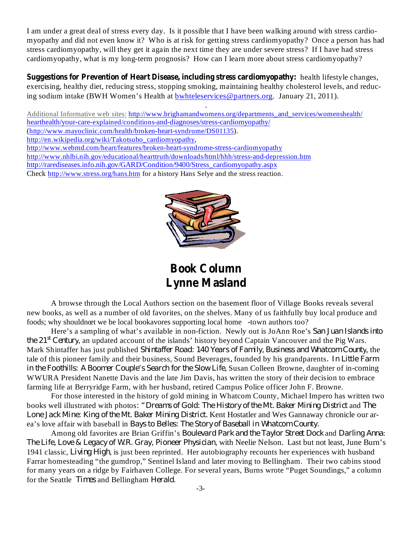I am under a great deal of stress every day. Is it possible that I have been walking around with stress cardiomyopathy and did not even know it? Who is at risk for getting stress cardiomyopathy? Once a person has had stress cardiomyopathy, will they get it again the next time they are under severe stress? If I have had stress cardiomyopathy, what is my long-term prognosis? How can I learn more about stress cardiomyopathy?

**Suggestions for Prevention of Heart Disease, including stress cardiomyopathy:** health lifestyle changes, exercising, healthy diet, reducing stress, stopping smoking, maintaining healthy cholesterol levels, and reducing sodium intake (BWH Women's Health at bwhteleservices@partners.org. January 21, 2011).

.

Additional Informative web sites: http://www.brighamandwomens.org/departments\_and\_services/womenshealth/ hearthealth/your-care-explained/conditions-and-diagnoses/stress-cardiomyopathy/ (http://www.mayoclinic.com/health/broken-heart-syndrome/DS01135). http://en.wikipedia.org/wiki/Takotsubo\_cardiomyopathy, http://www.webmd.com/heart/features/broken-heart-syndrome-stress-cardiomyopathy http://www.nhlbi.nih.gov/educational/hearttruth/downloads/html/hhh/stress-and-depression.htm http://rarediseases.info.nih.gov/GARD/Condition/9400/Stress\_cardiomyopathy.aspx Check http://www.stress.org/hans.htm for a history Hans Selye and the stress reaction.



**Book Column Lynne Masland**

A browse through the Local Authors section on the basement floor of Village Books reveals several new books, as well as a number of old favorites, on the shelves. Many of us faithfully buy local produce and foods; why shouldnœt we be local bookavores supporting local home -town authors too?

Here's a sampling of what's available in non-fiction. Newly out is JoAnn Roe's *San Juan Islands into the* 21<sup>st</sup> Century, an updated account of the islands' history beyond Captain Vancouver and the Pig Wars. Mark Shintaffer has just published Shintaffer Road: 140 Years of Family, Business and Whatcom County, the tale of this pioneer family and their business, Sound Beverages, founded by his grandparents. *In Little Farm in the Foothills: A Boomer Couple's Search for the Slow Life, Susan Colleen Browne, daughter of in-coming* WWURA President Nanette Davis and the late Jim Davis, has written the story of their decision to embrace farming life at Berryridge Farm, with her husband, retired Campus Police officer John F. Browne.

For those interested in the history of gold mining in Whatcom County, Michael Impero has written two books well illustrated with photos: "Dreams of Gold: The History of the Mt. Baker Mining District and The Lone Jack Mine: King of the Mt. Baker Mining District. Kent Hostatler and Wes Gannaway chronicle our area's love affair with baseball in *Bays to Belles: The Story of Baseball in Whatcom County.*

Among old favorites are Brian Griffin's *Boulevard Park and the Taylor Street Dock* and *Darling Anna*: *The Life, Love & Legacy of W.R. Gray, Pioneer Physician, with Neelie Nelson. Last but not least, June Burn's* 1941 classic, *Living High*, is just been reprinted. Her autobiography recounts her experiences with husband Farrar homesteading "the gumdrop," Sentinel Island and later moving to Bellingham. Their two cabins stood for many years on a ridge by Fairhaven College. For several years, Burns wrote "Puget Soundings," a column for the Seattle Times and Bellingham Herald.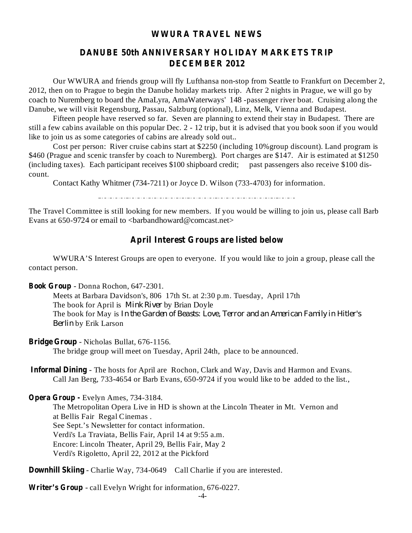#### **WWURA TRAVEL NEWS**

### **DANUBE 50th ANNIVERSARY HOLIDAY MARKETS TRIP DECEMBER 2012**

Our WWURA and friends group will fly Lufthansa non-stop from Seattle to Frankfurt on December 2, 2012, then on to Prague to begin the Danube holiday markets trip. After 2 nights in Prague, we will go by coach to Nuremberg to board the AmaLyra, AmaWaterways' 148 -passenger river boat. Cruising along the Danube, we will visit Regensburg, Passau, Salzburg (optional), Linz, Melk, Vienna and Budapest.

Fifteen people have reserved so far. Seven are planning to extend their stay in Budapest. There are still a few cabins available on this popular Dec. 2 - 12 trip, but it is advised that you book soon if you would like to join us as some categories of cabins are already sold out..

Cost per person: River cruise cabins start at \$2250 (including 10%group discount). Land program is \$460 (Prague and scenic transfer by coach to Nuremberg). Port charges are \$147. Air is estimated at \$1250 (including taxes). Each participant receives \$100 shipboard credit; past passengers also receive \$100 discount.

Contact Kathy Whitmer (734-7211) or Joyce D. Wilson (733-4703) for information.

The Travel Committee is still looking for new members. If you would be willing to join us, please call Barb Evans at 650-9724 or email to  $\langle$ barbandhoward@comcast.net $\rangle$ 

#### **April Interest Groups are listed below**

WWURA'S Interest Groups are open to everyone. If you would like to join a group, please call the contact person.

**Book Group** - Donna Rochon, 647-2301.

Meets at Barbara Davidson's, 806 17th St. at 2:30 p.m. Tuesday, April 17th The book for April is *Mink River* by Brian Doyle The book for May is *In the Garden of Beasts: Love, Terror and an American Family in Hitler's* by Erik Larson *Berlin*

**Bridge Group** - Nicholas Bullat, 676-1156.

The bridge group will meet on Tuesday, April 24th, place to be announced.

**Informal Dining** - The hosts for April are Rochon, Clark and Way, Davis and Harmon and Evans. Call Jan Berg, 733-4654 or Barb Evans, 650-9724 if you would like to be added to the list.,

**Opera Group -** Evelyn Ames, 734-3184.

The Metropolitan Opera Live in HD is shown at the Lincoln Theater in Mt. Vernon and at Bellis Fair Regal Cinemas . See Sept.'s Newsletter for contact information. Verdi's La Traviata, Bellis Fair, April 14 at 9:55 a.m. Encore: Lincoln Theater, April 29, Bellis Fair, May 2 Verdi's Rigoletto, April 22, 2012 at the Pickford

**Downhill Skiing** - Charlie Way, 734-0649 Call Charlie if you are interested.

**Writer's Group** - call Evelyn Wright for information, 676-0227.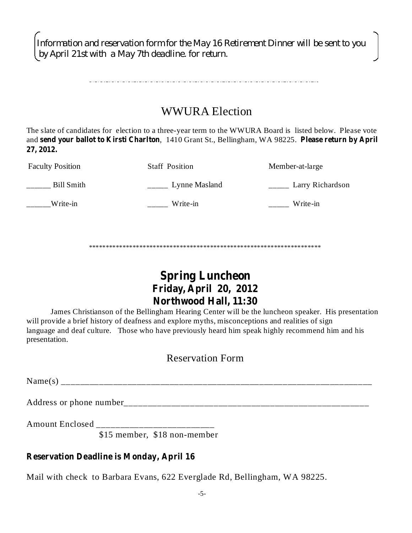*Information and reservation form for the May 16 Retirement Dinner will be sent to you by April 21st with a May 7th deadline. for return.*

## WWURA Election

The slate of candidates for election to a three-year term to the WWURA Board is listed below. Please vote and send your ballot to Kirsti Charlton, 1410 Grant St., Bellingham, WA 98225. Please return by April **27, 2012.**

| <b>Faculty Position</b> | <b>Staff Position</b> | Member-at-large  |
|-------------------------|-----------------------|------------------|
| Bill Smith              | Lynne Masland         | Larry Richardson |
| Write-in                | Write-in              | Write-in         |

\*\*\*\*\*\*\*\*\*\*\*\*\*\*\*\*\*\*\*\*\*\*\*\*\*\*\*\*\*\*\*\*\*\*\*\*\*\*\*\*\*\*\*\*\*\*\*\*\*\*\*\*\*\*\*\*\*\*\*\*\*\*\*\*\*\*\*\*\*

## **Spring Luncheon Friday, April 20, 2012 Northwood Hall, 11:30**

James Christianson of the Bellingham Hearing Center will be the luncheon speaker. His presentation will provide a brief history of deafness and explore myths, misconceptions and realities of sign language and deaf culture. Those who have previously heard him speak highly recommend him and his presentation.

### Reservation Form

 $Name(s)$ 

Address or phone number\_\_\_\_\_\_\_\_\_\_\_\_\_\_\_\_\_\_\_\_\_\_\_\_\_\_\_\_\_\_\_\_\_\_\_\_\_\_\_\_\_\_\_\_\_\_\_\_\_\_\_\_

Amount Enclosed \_\_\_\_\_\_\_\_\_\_\_\_\_\_\_\_\_\_\_\_\_\_\_\_\_

\$15 member, \$18 non-member

### **Reservation Deadline is Monday, April 16**

Mail with check to Barbara Evans, 622 Everglade Rd, Bellingham, WA 98225.